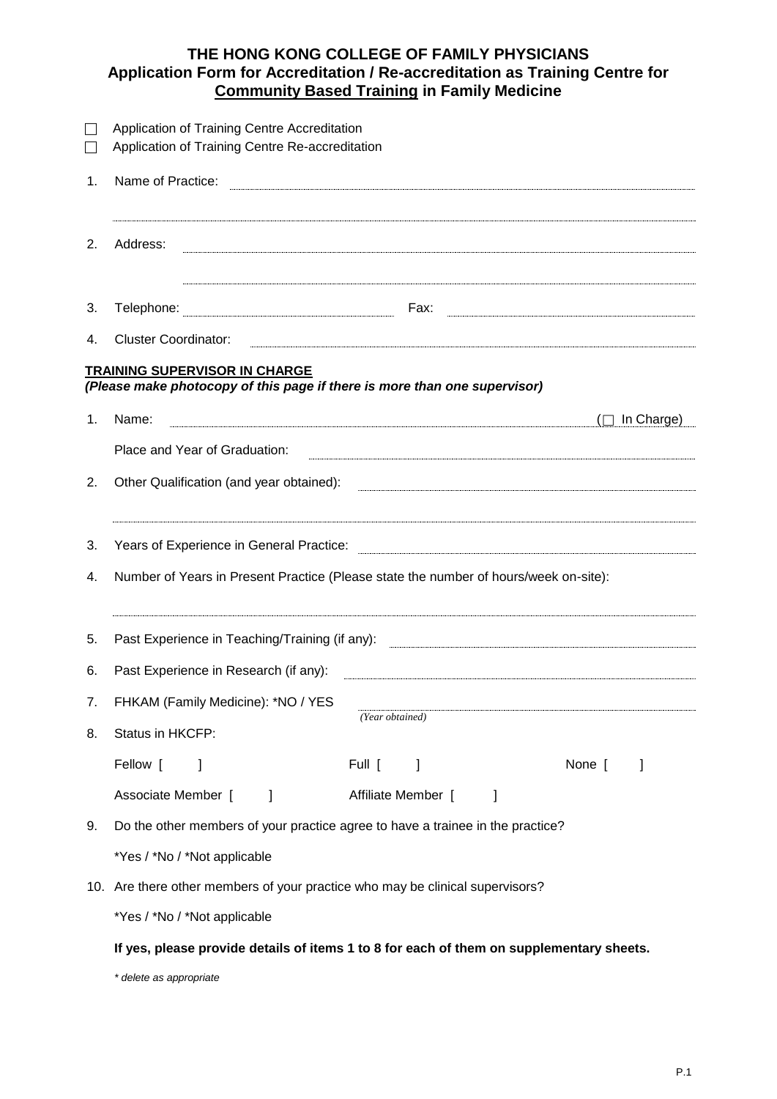## **THE HONG KONG COLLEGE OF FAMILY PHYSICIANS Application Form for Accreditation / Re-accreditation as Training Centre for Community Based Training in Family Medicine**

|    | Application of Training Centre Accreditation<br>Application of Training Centre Re-accreditation                   |
|----|-------------------------------------------------------------------------------------------------------------------|
| 1. | Name of Practice:                                                                                                 |
| 2. | Address:                                                                                                          |
| 3. | Telephone:                                                                                                        |
| 4. | <b>Cluster Coordinator:</b>                                                                                       |
|    | <b>TRAINING SUPERVISOR IN CHARGE</b><br>(Please make photocopy of this page if there is more than one supervisor) |
| 1. | In Charge)<br>Name:                                                                                               |
|    | Place and Year of Graduation:                                                                                     |
| 2. | Other Qualification (and year obtained):                                                                          |
| 3. | Years of Experience in General Practice:                                                                          |
| 4. | Number of Years in Present Practice (Please state the number of hours/week on-site):                              |
| 5. | Past Experience in Teaching/Training (if any):                                                                    |
| 6. | Past Experience in Research (if any):                                                                             |
| 7. | FHKAM (Family Medicine): *NO / YES                                                                                |
| 8. | (Year obtained)<br>Status in HKCFP:                                                                               |
|    | Fellow [<br>None [<br>Full [<br>1<br>I                                                                            |
|    | Associate Member [<br>Affiliate Member [<br>1<br>J                                                                |
| 9. | Do the other members of your practice agree to have a trainee in the practice?                                    |
|    | *Yes / *No / *Not applicable                                                                                      |
|    | 10. Are there other members of your practice who may be clinical supervisors?                                     |
|    | *Yes / *No / *Not applicable                                                                                      |
|    | If yes, please provide details of items 1 to 8 for each of them on supplementary sheets.                          |

*\* delete as appropriate*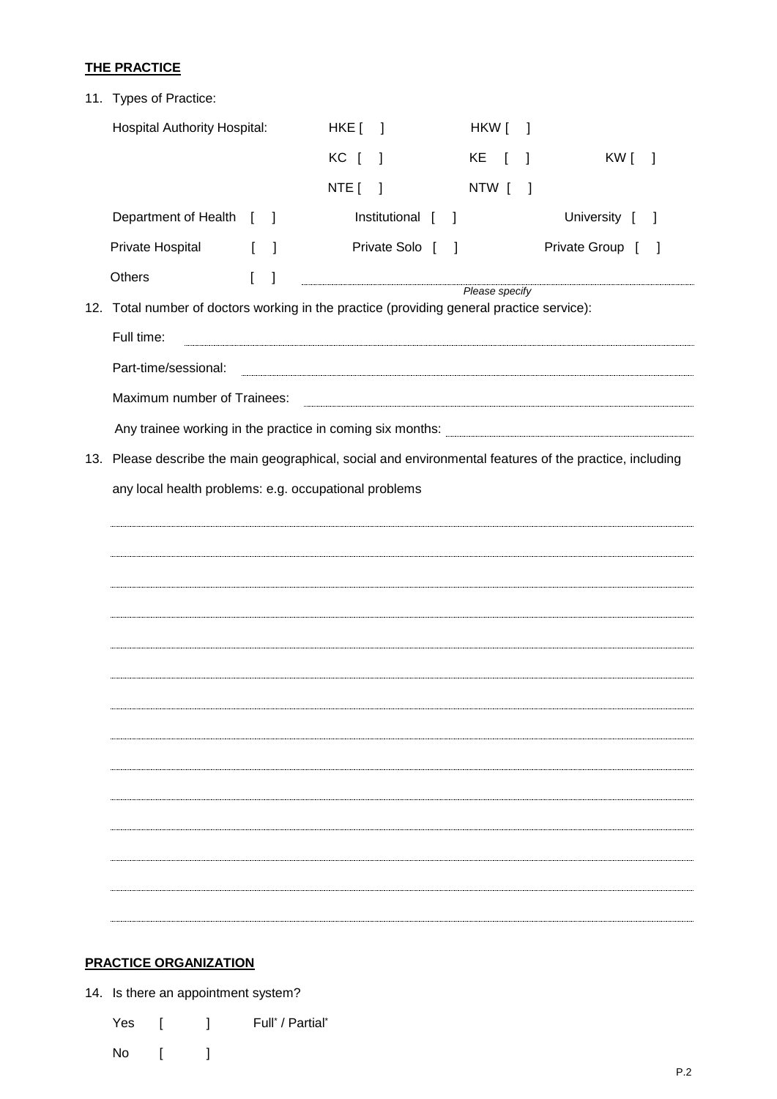## **THE PRACTICE**

|  | 11. Types of Practice:                                                                                                                         |              |              |                              |              |                           |                |                        |              |                 |  |
|--|------------------------------------------------------------------------------------------------------------------------------------------------|--------------|--------------|------------------------------|--------------|---------------------------|----------------|------------------------|--------------|-----------------|--|
|  | <b>Hospital Authority Hospital:</b>                                                                                                            |              |              | $HKE$ $\left[ \quad \right]$ |              |                           |                | HKW [                  | $\mathbf{I}$ |                 |  |
|  |                                                                                                                                                | KC [         | $\mathbf{I}$ |                              |              | KE [                      | $\mathbf{I}$   | KW [<br>$\overline{1}$ |              |                 |  |
|  |                                                                                                                                                |              |              | NTE [                        | $\mathbf{I}$ |                           |                | NTW [                  | -1           |                 |  |
|  | Department of Health [ ]                                                                                                                       |              |              |                              |              | Institutional [<br>$\Box$ |                |                        |              | University [    |  |
|  | Private Hospital                                                                                                                               | $\lceil$     | 1            |                              |              | Private Solo [            | $\,$ $\,$ $\,$ |                        |              | Private Group [ |  |
|  | Others                                                                                                                                         | $\mathbf{I}$ | 1            |                              |              |                           |                |                        |              |                 |  |
|  | Please specify<br>12. Total number of doctors working in the practice (providing general practice service):                                    |              |              |                              |              |                           |                |                        |              |                 |  |
|  | Full time:                                                                                                                                     |              |              |                              |              |                           |                |                        |              |                 |  |
|  | Part-time/sessional:<br><u> 1989 - Johann Stoff, deutscher Stoffen und der Stoffen und der Stoffen und der Stoffen und der Stoffen und der</u> |              |              |                              |              |                           |                |                        |              |                 |  |
|  | Maximum number of Trainees:                                                                                                                    |              |              |                              |              |                           |                |                        |              |                 |  |
|  |                                                                                                                                                |              |              |                              |              |                           |                |                        |              |                 |  |
|  | 13. Please describe the main geographical, social and environmental features of the practice, including                                        |              |              |                              |              |                           |                |                        |              |                 |  |
|  | any local health problems: e.g. occupational problems                                                                                          |              |              |                              |              |                           |                |                        |              |                 |  |
|  |                                                                                                                                                |              |              |                              |              |                           |                |                        |              |                 |  |
|  |                                                                                                                                                |              |              |                              |              |                           |                |                        |              |                 |  |
|  |                                                                                                                                                |              |              |                              |              |                           |                |                        |              |                 |  |
|  |                                                                                                                                                |              |              |                              |              |                           |                |                        |              |                 |  |
|  |                                                                                                                                                |              |              |                              |              |                           |                |                        |              |                 |  |
|  |                                                                                                                                                |              |              |                              |              |                           |                |                        |              |                 |  |
|  |                                                                                                                                                |              |              |                              |              |                           |                |                        |              |                 |  |
|  |                                                                                                                                                |              |              |                              |              |                           |                |                        |              |                 |  |
|  |                                                                                                                                                |              |              |                              |              |                           |                |                        |              |                 |  |
|  |                                                                                                                                                |              |              |                              |              |                           |                |                        |              |                 |  |
|  |                                                                                                                                                |              |              |                              |              |                           |                |                        |              |                 |  |
|  |                                                                                                                                                |              |              |                              |              |                           |                |                        |              |                 |  |
|  |                                                                                                                                                |              |              |                              |              |                           |                |                        |              |                 |  |
|  |                                                                                                                                                |              |              |                              |              |                           |                |                        |              |                 |  |
|  |                                                                                                                                                |              |              |                              |              |                           |                |                        |              |                 |  |

## **PRACTICE ORGANIZATION**

14. Is there an appointment system?

Yes [ ] Full<sup>\*</sup> / Partial<sup>\*</sup>

No [ ]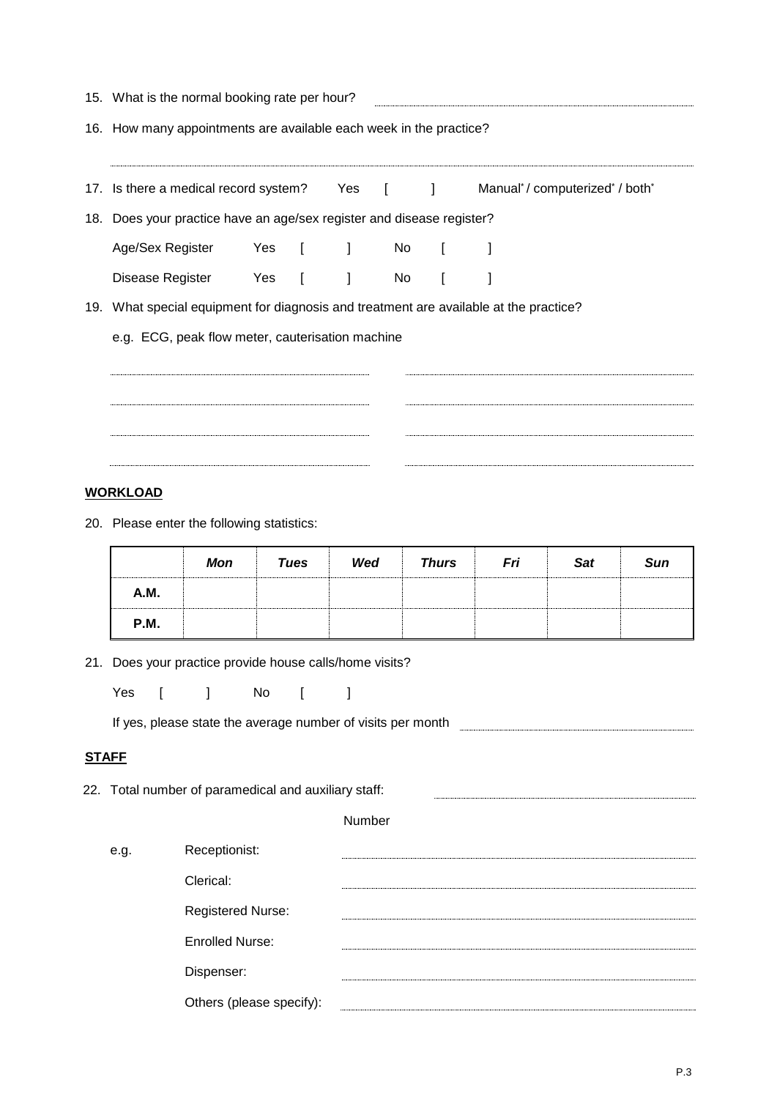|              | 15. What is the normal booking rate per hour?                         |                                                  |                                                                                                                        |              |                                                                                                                                                                                                                                |              |                             |            |     |  |  |  |
|--------------|-----------------------------------------------------------------------|--------------------------------------------------|------------------------------------------------------------------------------------------------------------------------|--------------|--------------------------------------------------------------------------------------------------------------------------------------------------------------------------------------------------------------------------------|--------------|-----------------------------|------------|-----|--|--|--|
|              | 16. How many appointments are available each week in the practice?    |                                                  |                                                                                                                        |              |                                                                                                                                                                                                                                |              |                             |            |     |  |  |  |
|              |                                                                       |                                                  | 17. Is there a medical record system? Yes [ ]                                                                          |              |                                                                                                                                                                                                                                |              | Manual*/computerized*/both* |            |     |  |  |  |
|              | 18. Does your practice have an age/sex register and disease register? |                                                  |                                                                                                                        |              |                                                                                                                                                                                                                                |              |                             |            |     |  |  |  |
|              | Age/Sex Register                                                      |                                                  | Yes [                                                                                                                  | $\mathbf{I}$ | No                                                                                                                                                                                                                             | $\mathbf{I}$ |                             |            |     |  |  |  |
|              |                                                                       |                                                  | Disease Register Yes [ ]                                                                                               |              | No results and the New York of the New York of the New York of the New York of the New York of the New York of the New York of the New York of the New York of the New York of the New York of the New York of the New York of | $\mathbf{I}$ | 1                           |            |     |  |  |  |
|              |                                                                       |                                                  | 19. What special equipment for diagnosis and treatment are available at the practice?                                  |              |                                                                                                                                                                                                                                |              |                             |            |     |  |  |  |
|              |                                                                       | e.g. ECG, peak flow meter, cauterisation machine |                                                                                                                        |              |                                                                                                                                                                                                                                |              |                             |            |     |  |  |  |
|              |                                                                       |                                                  |                                                                                                                        |              |                                                                                                                                                                                                                                |              |                             |            |     |  |  |  |
|              |                                                                       |                                                  |                                                                                                                        |              |                                                                                                                                                                                                                                |              |                             |            |     |  |  |  |
|              |                                                                       |                                                  |                                                                                                                        |              |                                                                                                                                                                                                                                |              |                             |            |     |  |  |  |
|              |                                                                       |                                                  |                                                                                                                        |              |                                                                                                                                                                                                                                |              |                             |            |     |  |  |  |
|              | <b>WORKLOAD</b>                                                       |                                                  |                                                                                                                        |              |                                                                                                                                                                                                                                |              |                             |            |     |  |  |  |
|              | 20. Please enter the following statistics:                            |                                                  |                                                                                                                        |              |                                                                                                                                                                                                                                |              |                             |            |     |  |  |  |
|              |                                                                       | <b>Mon</b>                                       | <b>Tues</b>                                                                                                            | Wed          |                                                                                                                                                                                                                                | <b>Thurs</b> | Fri                         | <b>Sat</b> | Sun |  |  |  |
|              | A.M.                                                                  |                                                  |                                                                                                                        |              |                                                                                                                                                                                                                                |              |                             |            |     |  |  |  |
|              | P.M.                                                                  |                                                  |                                                                                                                        |              |                                                                                                                                                                                                                                |              |                             |            |     |  |  |  |
| 21.          |                                                                       |                                                  | Does your practice provide house calls/home visits?                                                                    |              |                                                                                                                                                                                                                                |              |                             |            |     |  |  |  |
|              | Yes<br>$\mathbf{r}$                                                   | 1                                                | No<br>$\Gamma$                                                                                                         | $\mathbf{I}$ |                                                                                                                                                                                                                                |              |                             |            |     |  |  |  |
|              |                                                                       |                                                  | If yes, please state the average number of visits per month <b>contract and the state of the state of the state of</b> |              |                                                                                                                                                                                                                                |              |                             |            |     |  |  |  |
| <b>STAFF</b> |                                                                       |                                                  |                                                                                                                        |              |                                                                                                                                                                                                                                |              |                             |            |     |  |  |  |
|              |                                                                       |                                                  | 22. Total number of paramedical and auxiliary staff:                                                                   |              |                                                                                                                                                                                                                                |              |                             |            |     |  |  |  |
|              |                                                                       |                                                  |                                                                                                                        | Number       |                                                                                                                                                                                                                                |              |                             |            |     |  |  |  |
|              |                                                                       |                                                  |                                                                                                                        |              |                                                                                                                                                                                                                                |              |                             |            |     |  |  |  |
|              | Receptionist:<br>e.g.                                                 |                                                  |                                                                                                                        |              |                                                                                                                                                                                                                                |              |                             |            |     |  |  |  |
|              |                                                                       | Clerical:                                        |                                                                                                                        |              |                                                                                                                                                                                                                                |              |                             |            |     |  |  |  |
|              |                                                                       | Registered Nurse:                                |                                                                                                                        |              |                                                                                                                                                                                                                                |              |                             |            |     |  |  |  |
|              |                                                                       | <b>Enrolled Nurse:</b>                           |                                                                                                                        |              |                                                                                                                                                                                                                                |              |                             |            |     |  |  |  |
|              |                                                                       | Dispenser:                                       |                                                                                                                        |              |                                                                                                                                                                                                                                |              |                             |            |     |  |  |  |
|              |                                                                       |                                                  | Others (please specify):                                                                                               |              |                                                                                                                                                                                                                                |              |                             |            |     |  |  |  |